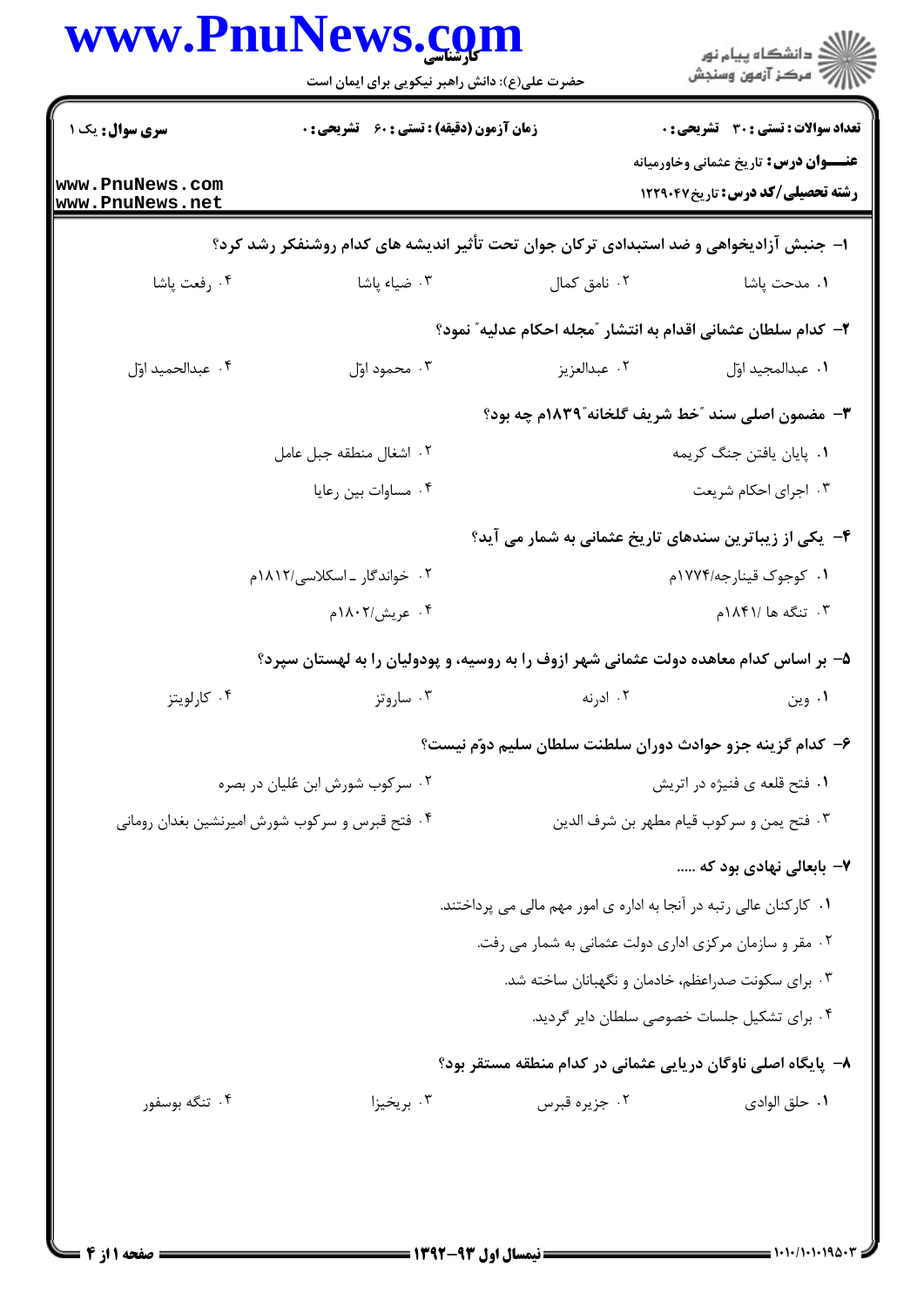|                                    | www.PnuNews.com<br>حضرت علی(ع): دانش راهبر نیکویی برای ایمان است                       |                                                                    | ≦ دانشڪاه پيام نور<br>√ مرڪز آزمون وسنڊش                                                     |
|------------------------------------|----------------------------------------------------------------------------------------|--------------------------------------------------------------------|----------------------------------------------------------------------------------------------|
| سری سوال: یک ۱                     | <b>زمان آزمون (دقیقه) : تستی : 60 ٪ تشریحی : 0</b>                                     |                                                                    | <b>تعداد سوالات : تستی : 30 ٪ تشریحی : 0</b><br><b>عنـــوان درس:</b> تاریخ عثمانی وخاورمیانه |
| www.PnuNews.com<br>www.PnuNews.net |                                                                                        |                                                                    | <b>رشته تحصیلی/کد درس:</b> تاریخ۱۲۲۹۰۴۷                                                      |
|                                    | ا– جنبش آزادیخواهی و ضد استبدادی ترکان جوان تحت تأثیر اندیشه های کدام روشنفکر رشد کرد؟ |                                                                    |                                                                                              |
| ۰۴ رفعت پاشا                       | ۰۳ ضیاء پاشا                                                                           | ۰۲ نامق کمال                                                       | <b>۱</b> . مدحت پاشا                                                                         |
|                                    |                                                                                        | ۲– کدام سلطان عثمانی اقدام به انتشار ″مجله احکام عدلیه″ نمود؟      |                                                                                              |
| ۰۴ عبدالحميد اوّل                  | ۰۳ محمود اوّل                                                                          | ۰۲ عبدالعزیز                                                       | ٠١. عبدالمجيد اوّل                                                                           |
|                                    |                                                                                        | ٣- مضمون اصلي سند "خط شريف گلخانه"١٨٣٩م چه بود؟                    |                                                                                              |
|                                    | ٠٢ اشغال منطقه جبل عامل                                                                | ٠١. پايان يافتن جنگ كريمه                                          |                                                                                              |
|                                    | ۰۴ مساوات بين رعايا                                                                    |                                                                    | ۰۳ اجرای احکام شریعت                                                                         |
|                                    |                                                                                        | ۴- یکی از زیباترین سندهای تاریخ عثمانی به شمار می آید؟             |                                                                                              |
|                                    | ۲. خواندگار ـ اسکلاسی/۱۸۱۲م                                                            |                                                                    | ۰۱ کوجوک قینارجه/۱۷۷۴م                                                                       |
|                                    | ۰۴ عریش/۱۸۰۲م                                                                          | ۰۳ تنگه ها ۱۸۴۱/م                                                  |                                                                                              |
|                                    | ۵– بر اساس کدام معاهده دولت عثمانی شهر ازوف را به روسیه، و پودولیان را به لهستان سپرد؟ |                                                                    |                                                                                              |
| ۰۴ کارلویتز                        | ۰۳ ساروتز                                                                              | ۰۲ ادرنه                                                           | ۰۱ وین                                                                                       |
|                                    |                                                                                        | ۶– كدام گزينه جزو حوادث دوران سلطنت سلطان سليم دوّم نيست؟          |                                                                                              |
| ۰۲ سرکوب شورش ابن عُلیان در بصره   |                                                                                        |                                                                    | ٠١ فتح قلعه ي فنيژه در اتريش                                                                 |
|                                    | ۰۴ فتح قبرس و سرکوب شورش امیرنشین بغدان رومانی                                         |                                                                    | ۰۳ فتح يمن و سركوب قيام مطهر بن شرف الدين                                                    |
|                                    |                                                                                        |                                                                    | ۷– بابعالی نهادی بود که                                                                      |
|                                    |                                                                                        | ۰۱ کارکنان عالی رتبه در آنجا به اداره ی امور مهم مالی می پرداختند. |                                                                                              |
|                                    |                                                                                        | ۰۲ مقر و سازمان مرکزی اداری دولت عثمانی به شمار می رفت.            |                                                                                              |
|                                    |                                                                                        | ۰۳ برای سکونت صدراعظم، خادمان و نگهبانان ساخته شد.                 |                                                                                              |
|                                    |                                                                                        |                                                                    | ۰۴ برای تشکیل جلسات خصوصی سلطان دایر گردید.                                                  |
|                                    |                                                                                        | ۸– پایگاه اصلی ناوگان دریایی عثمانی در کدام منطقه مستقر بود؟       |                                                                                              |
| ۰۴ تنگه بوسفور                     | ۰۳ بریخیزا                                                                             | ۰۲ جزیره قبرس                                                      | ٠١ حلق الوادي                                                                                |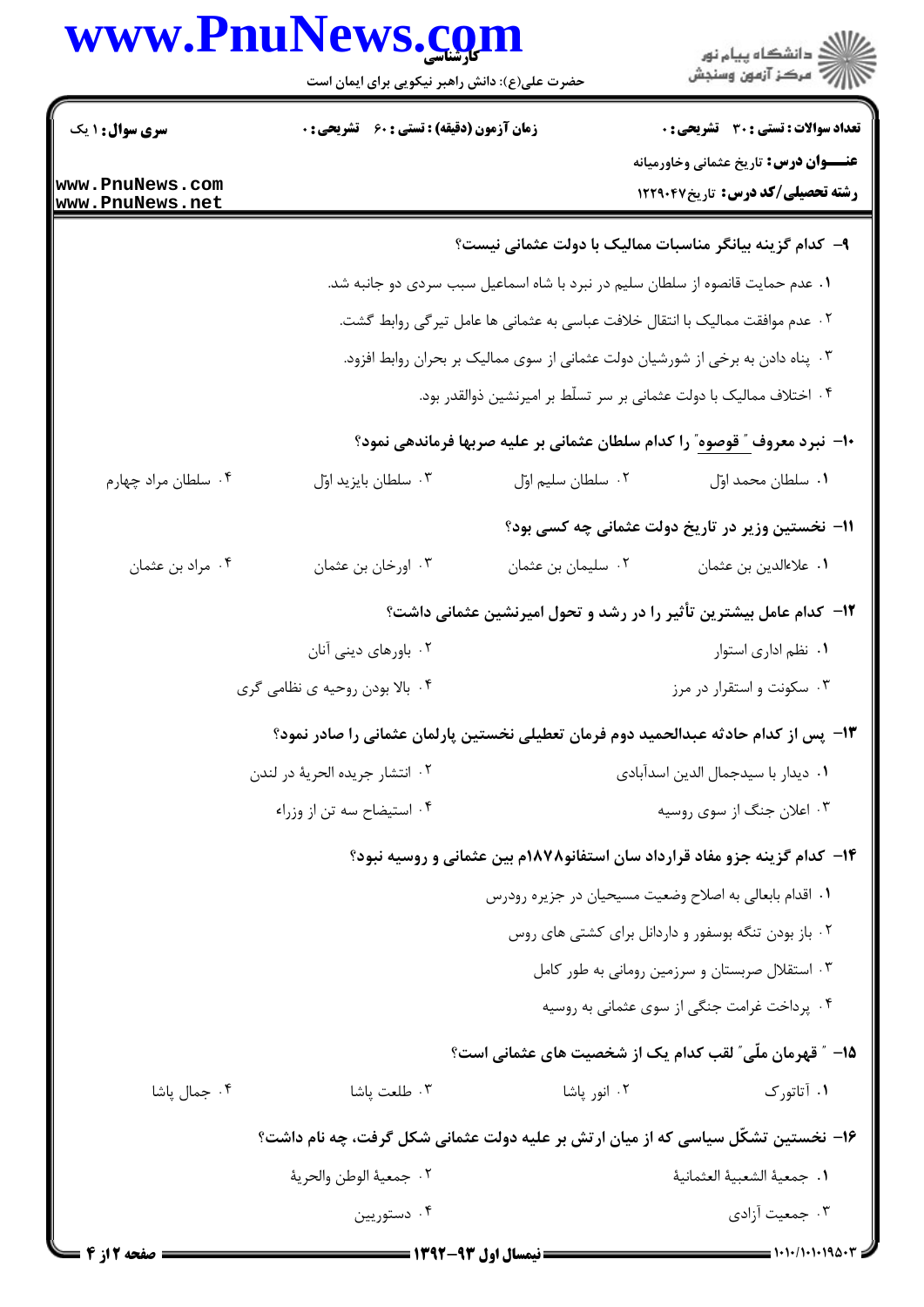## www.PnuNews.com

|                                           | www.PnuNews.com<br>حضرت علی(ع): دانش راهبر نیکویی برای ایمان است                    |                                                                                | ر<br>دانشڪاه پيام نور)<br>ا∛ مرڪز آزمون وسنڊش                                                |  |  |
|-------------------------------------------|-------------------------------------------------------------------------------------|--------------------------------------------------------------------------------|----------------------------------------------------------------------------------------------|--|--|
| <b>سری سوال : ۱ یک</b><br>www.PnuNews.com | زمان آزمون (دقیقه) : تستی : 60 ٪ تشریحی : 0                                         |                                                                                | <b>تعداد سوالات : تستی : 30 ٪ تشریحی : 0</b><br><b>عنـــوان درس:</b> تاریخ عثمانی وخاورمیانه |  |  |
| www.PnuNews.net                           |                                                                                     |                                                                                | رشته تحصیلی/کد درس: تاریخ ۱۲۲۹۰۴۷                                                            |  |  |
|                                           |                                                                                     | ۹–  کدام گزینه بیانگر مناسبات ممالیک با دولت عثمانی نیست؟                      |                                                                                              |  |  |
|                                           |                                                                                     | ۰۱ عدم حمایت قانصوه از سلطان سلیم در نبرد با شاه اسماعیل سبب سردی دو جانبه شد. |                                                                                              |  |  |
|                                           |                                                                                     | ۰۲ عدم موافقت ممالیک با انتقال خلافت عباسی به عثمانی ها عامل تیرگی روابط گشت.  |                                                                                              |  |  |
|                                           | ۰۳ پناه دادن به برخی از شورشیان دولت عثمانی از سوی ممالیک بر بحران روابط افزود.     |                                                                                |                                                                                              |  |  |
|                                           |                                                                                     | ۰۴ اختلاف ممالیک با دولت عثمانی بر سر تسلّط بر امیرنشین ذوالقدر بود.           |                                                                                              |  |  |
|                                           |                                                                                     |                                                                                | ∙ا− نبرد معروف ″ قوصوه″ را کدام سلطان عثمانی بر علیه صربها فرماندهی نمود؟                    |  |  |
| ۰۴ سلطان مراد چهارم                       | ۰۳ سلطان بايزيد اوّل                                                                | ٠٢ سلطان سليم اوّل                                                             | ٠١. سلطان محمد اوّل                                                                          |  |  |
|                                           |                                                                                     |                                                                                | <b>۱۱- نخستین وزیر در تاریخ دولت عثمانی چه کسی بود</b> ؟                                     |  |  |
| ۰۴ مراد بن عثمان                          | ۰۳ اورخان بن عثمان                                                                  | ۰۲ سلیمان بن عثمان                                                             | ٠١ علاءالدين بن عثمان                                                                        |  |  |
|                                           |                                                                                     |                                                                                | ۱۲– کدام عامل بیشترین تأثیر را در رشد و تحول امیرنشین عثمانی داشت؟                           |  |  |
|                                           | ۰۲ باورهای دینی آنان                                                                |                                                                                | ٠١. نظم اداري استوار                                                                         |  |  |
|                                           | ۰۴ بالا بودن روحیه ی نظامی گری                                                      |                                                                                | ۰۳ سکونت و استقرار در مرز                                                                    |  |  |
|                                           | ۱۳– پس از کدام حادثه عبدالحمید دوم فرمان تعطیلی نخستین پارلمان عثمانی را صادر نمود؟ |                                                                                |                                                                                              |  |  |
|                                           | ٠٢ انتشار جريده الحرية در لندن                                                      | ٠١ ديدار با سيدجمال الدين اسدآبادي                                             |                                                                                              |  |  |
|                                           | ۰۴ استيضاح سه تن از وزراء                                                           | ۰۳ اعلان جنگ از سوی روسیه                                                      |                                                                                              |  |  |
|                                           |                                                                                     |                                                                                | ۱۴– کدام گزینه جزو مفاد قرارداد سان استفانو۱۸۷۸م بین عثمانی و روسیه نبود؟                    |  |  |
|                                           |                                                                                     | ۰۱ اقدام بابعالی به اصلاح وضعیت مسیحیان در جزیره رودرس                         |                                                                                              |  |  |
|                                           |                                                                                     |                                                                                | ۰۲ باز بودن تنگه بوسفور و داردانل برای کشتی های روس                                          |  |  |
|                                           |                                                                                     |                                                                                | ۰۳ استقلال صربستان و سرزمین رومانی به طور کامل                                               |  |  |
|                                           |                                                                                     |                                                                                | ۰۴ پرداخت غرامت جنگی از سوی عثمانی به روسیه                                                  |  |  |
|                                           |                                                                                     |                                                                                | 1۵– ″ قهرمان ملّی″ لقب کدام یک از شخصیت های عثمانی است؟                                      |  |  |
| ۰۴ جمال پاشا                              | ۰۳ طلعت پاشا                                                                        | ۰۲ انور پاشا                                                                   | ۱. آتاتورک                                                                                   |  |  |
|                                           | ۱۶– نخستین تشکّل سیاسی که از میان ارتش بر علیه دولت عثمانی شکل گرفت، چه نام داشت؟   |                                                                                |                                                                                              |  |  |
|                                           | ٢.  جمعيهٔ الوطن والحريهٔ                                                           |                                                                                | ٠١. جمعية الشعبية العثمانية                                                                  |  |  |
|                                           | ۰۴ دستوریین                                                                         |                                                                                | ۰۳ جمعیت آزادی                                                                               |  |  |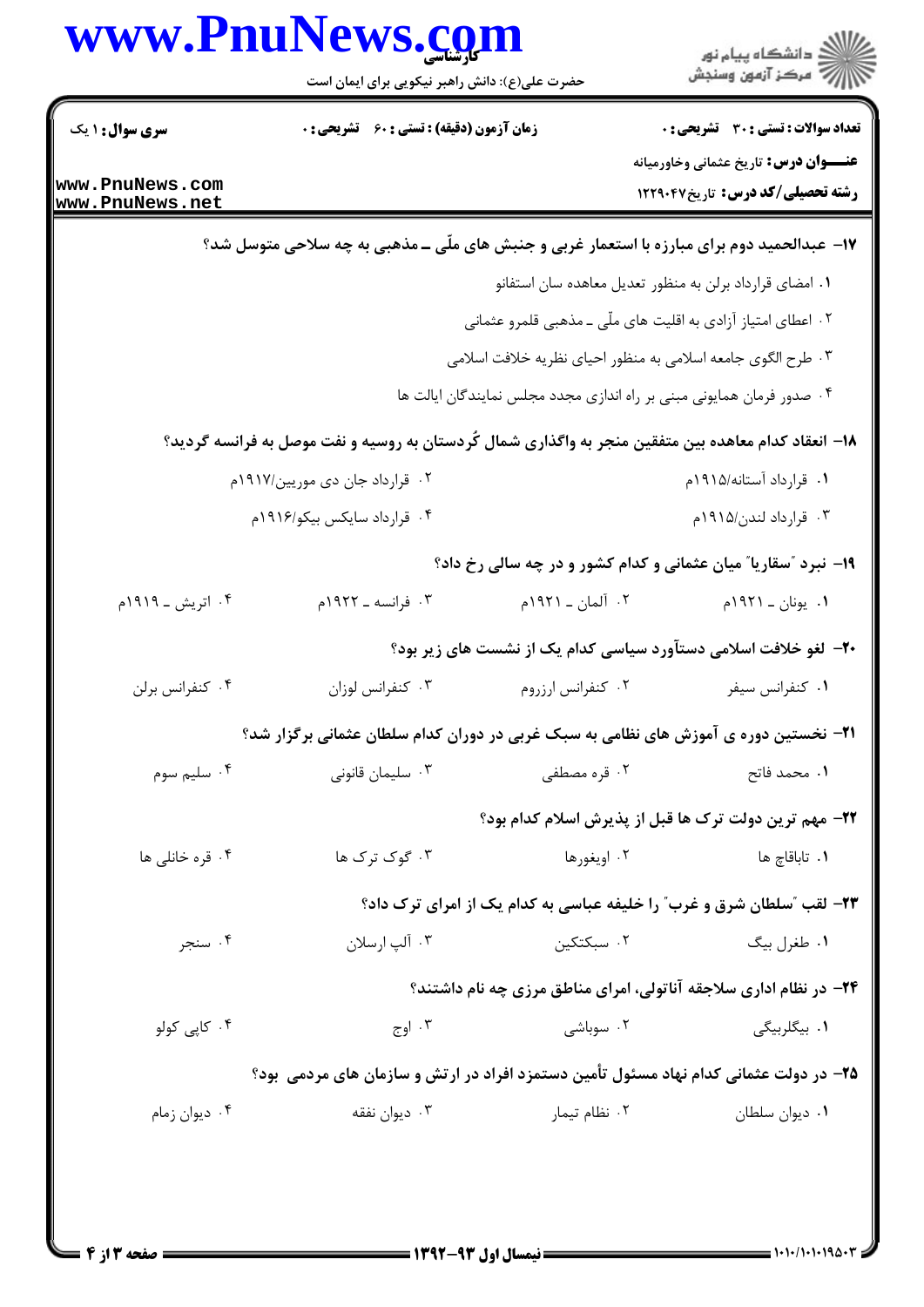|                                                              | www.PnuNews.com<br>حضرت علی(ع): دانش راهبر نیکویی برای ایمان است                                     |                       | ڪ دانشڪاه پيام نور<br>ر∕⊂ مرڪز آزمون وسنڊش                                              |  |
|--------------------------------------------------------------|------------------------------------------------------------------------------------------------------|-----------------------|-----------------------------------------------------------------------------------------|--|
| <b>سری سوال : ۱ یک</b>                                       | <b>زمان آزمون (دقیقه) : تستی : 60 ٪ تشریحی : 0</b>                                                   |                       | <b>تعداد سوالات : تستی : 30 ٪ تشریحی : 0</b>                                            |  |
| www.PnuNews.com<br>www.PnuNews.net                           |                                                                                                      |                       | <b>عنـــوان درس:</b> تاریخ عثمانی وخاورمیانه<br><b>رشته تحصیلی/کد درس:</b> تاریخ۱۲۲۹۰۴۷ |  |
|                                                              | ۱۷- عبدالحمید دوم برای مبارزه با استعمار غربی و جنبش های ملّی ــ مذهبی به چه سلاحی متوسل شد؟         |                       |                                                                                         |  |
| ۰۱ امضای قرارداد برلن به منظور تعدیل معاهده سان استفانو      |                                                                                                      |                       |                                                                                         |  |
| ۰۲ اعطای امتیاز آزادی به اقلیت های ملّی ـ مذهبی قلمرو عثمانی |                                                                                                      |                       |                                                                                         |  |
|                                                              |                                                                                                      |                       | ۰۳ طرح الگوی جامعه اسلامی به منظور احیای نظریه خلافت اسلامی                             |  |
|                                                              |                                                                                                      |                       | ۰۴ صدور فرمان همایونی مبنی بر راه اندازی مجدد مجلس نمایندگان ایالت ها                   |  |
|                                                              | ۱۸– انعقاد کدام معاهده بین متفقین منجر به واگذاری شمال کُردستان به روسیه و نفت موصل به فرانسه گردید؟ |                       |                                                                                         |  |
| ۰۲ قرارداد جان دی موریین/۱۹۱۷م                               |                                                                                                      |                       | ۰۱ قرارداد آستانه/۱۹۱۵م                                                                 |  |
|                                                              | ۰۴ قرارداد سایکس بیکو/۱۹۱۶م                                                                          | ۰۳ قرارداد لندن/۱۹۱۵م |                                                                                         |  |
|                                                              |                                                                                                      |                       | ۱۹- نبرد "سقاریا" میان عثمانی و کدام کشور و در چه سالی رخ داد؟                          |  |
| ۰۴ اتریش ـ ۱۹۱۹م                                             | ۰۳ فرانسه ـ ۱۹۲۲م                                                                                    | ٢. آلمان ـ ١٩٢١م      | ۰۱ يونان ـ ۱۹۲۱م                                                                        |  |
|                                                              |                                                                                                      |                       | +۲- لغو خلافت اسلامی دستآورد سیاسی کدام یک از نشست های زیر بود؟                         |  |
| ۰۴ كنفرانس برلن                                              | ۰۳ کنفرانس لوزان                                                                                     | ٠٢ كنفرانس ارزروم     | ٠١ كنفرانس سيفر                                                                         |  |
|                                                              | <b>۲۱</b> - نخستین دوره ی آموزش های نظامی به سبک غربی در دوران کدام سلطان عثمانی برگزار شد؟          |                       |                                                                                         |  |
| ۰۴ سلیم سوم                                                  | ۰۳ سلیمان قانونی                                                                                     | ۰۲ قره مصطفى          | ٠١. محمد فاتح                                                                           |  |
|                                                              |                                                                                                      |                       | ٢٢- مهم ترين دولت ترك ها قبل از پذيرش اسلام كدام بود؟                                   |  |
| ۰۴ قره خانلی ها                                              | ۰۳ گوک ترک ها                                                                                        | ۰۲ اویغورها           | ۰۱ تاباقاچ ها                                                                           |  |
|                                                              |                                                                                                      |                       | <b>۲۳</b> - لقب "سلطان شرق و غرب" را خلیفه عباسی به کدام یک از امرای ترک داد؟           |  |
| ۰۴ سنجر                                                      | ۰۳ آلپ ارسلان                                                                                        | ۰۲ سبکتکین            | ۰۱ طغرل بيگ                                                                             |  |
|                                                              |                                                                                                      |                       | ۲۴- در نظام اداری سلاجقه آناتولی، امرای مناطق مرزی چه نام داشتند؟                       |  |
| ۰۴ کاپی کولو                                                 | ۰۳ اوج $\cdot$                                                                                       | ۰۲ سوباشی             | ۰۱ بیگلربیگی                                                                            |  |
|                                                              | ۲۵– در دولت عثمانی کدام نهاد مسئول تأمین دستمزد افراد در ارتش و سازمان های مردمی ًبود؟               |                       |                                                                                         |  |
| ۰۴ دیوان زمام                                                | ۰۳ دیوان نفقه                                                                                        | ۰۲ نظام تیمار         | ٠١. ديوان سلطان                                                                         |  |
|                                                              |                                                                                                      |                       |                                                                                         |  |
|                                                              |                                                                                                      |                       |                                                                                         |  |
|                                                              |                                                                                                      |                       |                                                                                         |  |

 $= 1.1 - 11.1 - 19.0 - T$